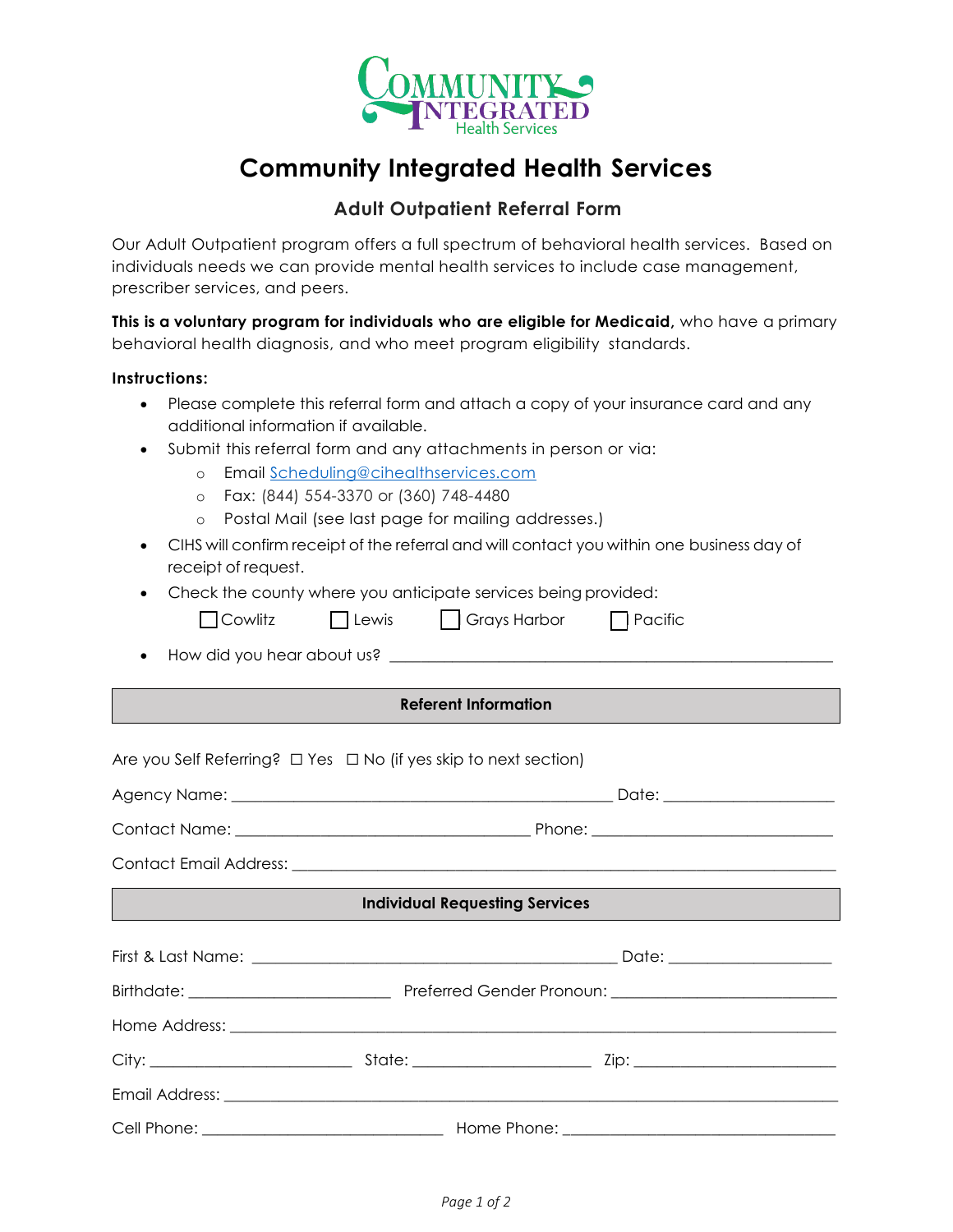

# **Community Integrated Health Services**

## **Adult Outpatient Referral Form**

Our Adult Outpatient program offers a full spectrum of behavioral health services. Based on individuals needs we can provide mental health services to include case management, prescriber services, and peers.

**This is a voluntary program for individuals who are eligible for Medicaid,** who have a primary behavioral health diagnosis, and who meet program eligibility standards.

#### **Instructions:**

- Please complete this referral form and attach a copy of your insurance card and any additional information if available.
- Submit this referral form and any attachments in person or via:
	- o Email [Scheduling@cihealthservices.com](mailto:Scheduling@cihealthservices.com)
	- o Fax: (844) 554-3370 or (360) 748-4480
	- o Postal Mail (see last page for mailing addresses.)
- CIHS will confirm receipt of the referral and will contact you within one business day of receipt of request.
- Check the county where you anticipate services being provided:

| $\Box$ Cowlitz | $\Box$ Lewis | $\Box$ Grays Harbor | $\Box$ Pacific |
|----------------|--------------|---------------------|----------------|
|----------------|--------------|---------------------|----------------|

How did you hear about us? \_\_\_\_\_\_\_\_\_\_\_\_\_\_\_\_\_\_\_\_\_\_\_\_\_\_\_\_\_\_\_\_\_\_\_\_\_\_\_\_\_\_\_\_\_\_\_\_\_\_\_\_\_\_\_\_\_

#### **Referent Information**

Are you Self Referring? □ Yes □ No (if yes skip to next section)

| <b>Individual Requesting Services</b> |  |  |  |  |  |
|---------------------------------------|--|--|--|--|--|
|                                       |  |  |  |  |  |
|                                       |  |  |  |  |  |
|                                       |  |  |  |  |  |
|                                       |  |  |  |  |  |
|                                       |  |  |  |  |  |
|                                       |  |  |  |  |  |